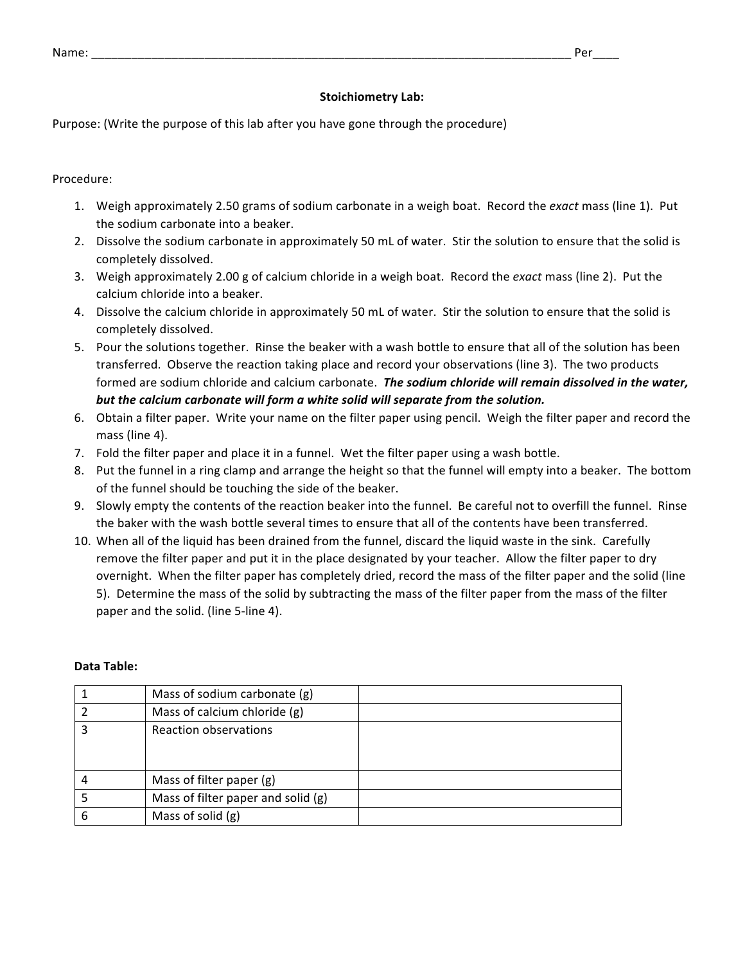## **Stoichiometry Lab:**

Purpose: (Write the purpose of this lab after you have gone through the procedure)

Procedure: 

- 1. Weigh approximately 2.50 grams of sodium carbonate in a weigh boat. Record the exact mass (line 1). Put the sodium carbonate into a beaker.
- 2. Dissolve the sodium carbonate in approximately 50 mL of water. Stir the solution to ensure that the solid is completely dissolved.
- 3. Weigh approximately 2.00 g of calcium chloride in a weigh boat. Record the *exact* mass (line 2). Put the calcium chloride into a beaker.
- 4. Dissolve the calcium chloride in approximately 50 mL of water. Stir the solution to ensure that the solid is completely dissolved.
- 5. Pour the solutions together. Rinse the beaker with a wash bottle to ensure that all of the solution has been transferred. Observe the reaction taking place and record your observations (line 3). The two products formed are sodium chloride and calcium carbonate. The sodium chloride will remain dissolved in the water, but the calcium carbonate will form a white solid will separate from the solution.
- 6. Obtain a filter paper. Write your name on the filter paper using pencil. Weigh the filter paper and record the mass (line 4).
- 7. Fold the filter paper and place it in a funnel. Wet the filter paper using a wash bottle.
- 8. Put the funnel in a ring clamp and arrange the height so that the funnel will empty into a beaker. The bottom of the funnel should be touching the side of the beaker.
- 9. Slowly empty the contents of the reaction beaker into the funnel. Be careful not to overfill the funnel. Rinse the baker with the wash bottle several times to ensure that all of the contents have been transferred.
- 10. When all of the liquid has been drained from the funnel, discard the liquid waste in the sink. Carefully remove the filter paper and put it in the place designated by your teacher. Allow the filter paper to dry overnight. When the filter paper has completely dried, record the mass of the filter paper and the solid (line 5). Determine the mass of the solid by subtracting the mass of the filter paper from the mass of the filter paper and the solid. (line 5-line 4).

## **Data Table:**

|   | Mass of sodium carbonate (g)       |
|---|------------------------------------|
|   | Mass of calcium chloride (g)       |
|   | Reaction observations              |
|   | Mass of filter paper (g)           |
|   | Mass of filter paper and solid (g) |
| ь | Mass of solid (g)                  |